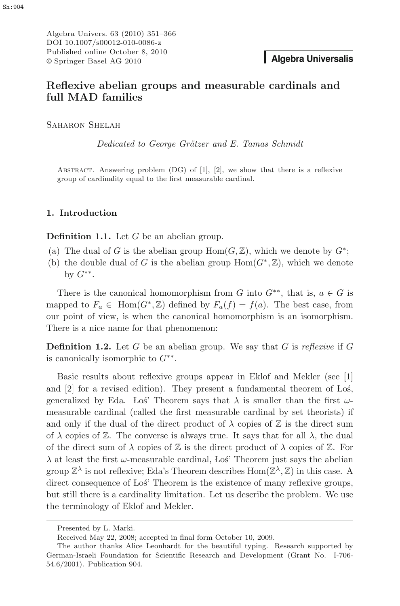Algebra Univers. 63 (2010) 351–366 DOI 10.1007/s00012-010-0086-z Published online October 8, 2010 © Springer Basel AG 2010 **Algebra Universalis**

# **Reflexive abelian groups and measurable cardinals and full MAD families**

SAHARON SHELAH

Dedicated to George Grätzer and E. Tamas Schmidt

Abstract. Answering problem (DG) of [1], [2], we show that there is a reflexive group of cardinality equal to the first measurable cardinal.

# **1. Introduction**

**Definition 1.1.** Let G be an abelian group.

- (a) The dual of G is the abelian group  $\text{Hom}(G,\mathbb{Z})$ , which we denote by  $G^*$ ;
- (b) the double dual of G is the abelian group  $\text{Hom}(G^*,\mathbb{Z})$ , which we denote by  $G^{**}$ .

There is the canonical homomorphism from G into  $G^{**}$ , that is,  $a \in G$  is mapped to  $F_a \in \text{Hom}(G^*, \mathbb{Z})$  defined by  $F_a(f) = f(a)$ . The best case, from our point of view, is when the canonical homomorphism is an isomorphism. There is a nice name for that phenomenon:

**Definition 1.2.** Let G be an abelian group. We say that G is reflexive if G is canonically isomorphic to  $G^{**}$ .

Basic results about reflexive groups appear in Eklof and Mekler (see [1] and  $[2]$  for a revised edition). They present a fundamental theorem of Los, generalized by Eda. Los' Theorem says that  $\lambda$  is smaller than the first  $\omega$ -<br>measurable cardinal (called the first measurable cardinal by set theorieta) if measurable cardinal (called the first measurable cardinal by set theorists) if and only if the dual of the direct product of  $\lambda$  copies of  $\mathbb Z$  is the direct sum of  $\lambda$  copies of Z. The converse is always true. It says that for all  $\lambda$ , the dual of the direct sum of  $\lambda$  copies of  $\mathbb Z$  is the direct product of  $\lambda$  copies of  $\mathbb Z$ . For  $\lambda$  at least the first ω-measurable cardinal, Los<sup>'</sup> Theorem just says the abelian  $\text{From } \mathbb{Z}^{\lambda}$  is not reflexive: Ede's Theorem describes  $\text{Hom}(\mathbb{Z}^{\lambda}, \mathbb{Z})$  in this asset. group  $\mathbb{Z}^{\lambda}$  is not reflexive; Eda's Theorem describes  $\text{Hom}(\mathbb{Z}^{\lambda},\mathbb{Z})$  in this case. A direct consequence of Los' Theorem is the existence of many reflexive groups, but still there is a cardinality limitation. Let us describe the problem. We use the terminology of Eklof and Mekler.

Presented by L. Marki.

Received May 22, 2008; accepted in final form October 10, 2009.

The author thanks Alice Leonhardt for the beautiful typing. Research supported by German-Israeli Foundation for Scientific Research and Development (Grant No. I-706- 54.6/2001). Publication 904.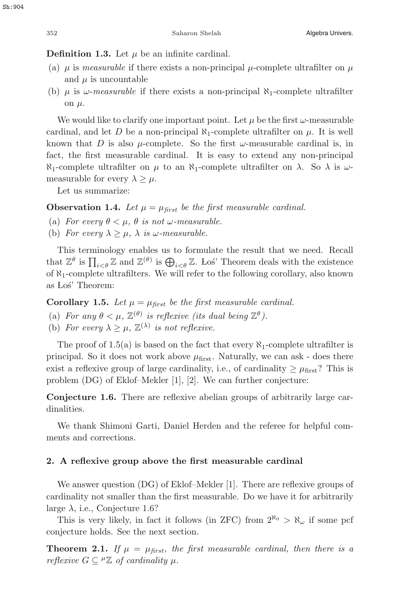## **Definition 1.3.** Let  $\mu$  be an infinite cardinal.

- (a)  $\mu$  is measurable if there exists a non-principal  $\mu$ -complete ultrafilter on  $\mu$ and  $\mu$  is uncountable
- (b)  $\mu$  is  $\omega$ -measurable if there exists a non-principal  $\aleph_1$ -complete ultrafilter on  $\mu$ .

We would like to clarify one important point. Let  $\mu$  be the first  $\omega$ -measurable cardinal, and let D be a non-principal  $\aleph_1$ -complete ultrafilter on  $\mu$ . It is well known that D is also  $\mu$ -complete. So the first  $\omega$ -measurable cardinal is, in fact, the first measurable cardinal. It is easy to extend any non-principal  $\aleph_1$ -complete ultrafilter on  $\mu$  to an  $\aleph_1$ -complete ultrafilter on  $\lambda$ . So  $\lambda$  is  $\omega$ measurable for every  $\lambda > \mu$ .

Let us summarize:

**Observation 1.4.** Let  $\mu = \mu_{\text{first}}$  be the first measurable cardinal.

- (a) For every  $\theta < \mu$ ,  $\theta$  is not  $\omega$ -measurable.
- (b) For every  $\lambda \geq \mu$ ,  $\lambda$  is  $\omega$ -measurable.

This terminology enables us to formulate the result that we need. Recall that  $\mathbb{Z}^{\theta}$  is  $\prod_{i<\theta} \mathbb{Z}$  and  $\mathbb{Z}^{(\theta)}$  is  $\bigoplus_{i<\theta} \mathbb{Z}$ . Lost Theorem deals with the existence of  $\aleph_1$ -complete ultrafilters. We will refer to the following corollary, also known as Loś' Theorem:

**Corollary 1.5.** Let  $\mu = \mu_{first}$  be the first measurable cardinal.

- (a) For any  $\theta < \mu$ ,  $\mathbb{Z}^{(\theta)}$  is reflexive (its dual being  $\mathbb{Z}^{\theta}$ ).
- (b) For every  $\lambda \geq \mu$ ,  $\mathbb{Z}^{(\lambda)}$  is not reflexive.

The proof of 1.5(a) is based on the fact that every  $\aleph_1$ -complete ultrafilter is principal. So it does not work above  $\mu_{\text{first}}$ . Naturally, we can ask - does there exist a reflexive group of large cardinality, i.e., of cardinality  $\geq \mu_{\text{first}}$ ? This is problem (DG) of Eklof–Mekler [1], [2]. We can further conjecture:

**Conjecture 1.6.** There are reflexive abelian groups of arbitrarily large cardinalities.

We thank Shimoni Garti, Daniel Herden and the referee for helpful comments and corrections.

#### **2. A reflexive group above the first measurable cardinal**

We answer question (DG) of Eklof–Mekler [1]. There are reflexive groups of cardinality not smaller than the first measurable. Do we have it for arbitrarily large  $\lambda$ , i.e., Conjecture 1.6?

This is very likely, in fact it follows (in ZFC) from  $2^{\aleph_0} > \aleph_{\omega}$  if some pcf conjecture holds. See the next section.

**Theorem 2.1.** If  $\mu = \mu_{first}$ , the first measurable cardinal, then there is a reflexive  $G \subseteq {}^{\mu} \mathbb{Z}$  of cardinality  $\mu$ .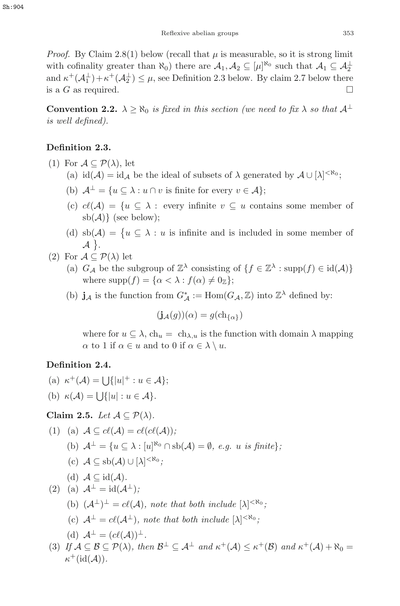*Proof.* By Claim 2.8(1) below (recall that  $\mu$  is measurable, so it is strong limit with cofinality greater than  $\aleph_0$ ) there are  $\mathcal{A}_1, \mathcal{A}_2 \subseteq [\mu]^{\aleph_0}$  such that  $\mathcal{A}_1 \subseteq \mathcal{A}_2^{\perp}$ <br>and  $\kappa^+(\Lambda^{\perp}) + \kappa^+(\Lambda^{\perp}) \leq \mu$  soo Definition 2.3 below. By claim 2.7 below there and  $\kappa^+(\mathcal{A}_1^{\perp})+\kappa^+(\mathcal{A}_2^{\perp}) \leq \mu$ , see Definition 2.3 below. By claim 2.7 below there is a G as required.  $\Box$ 

**Convention 2.2.**  $\lambda \ge \aleph_0$  is fixed in this section (we need to fix  $\lambda$  so that  $\mathcal{A}^{\perp}$ is well defined).

# **Definition 2.3.**

- (1) For  $\mathcal{A} \subseteq \mathcal{P}(\lambda)$ , let
	- (a)  $id(\mathcal{A}) = id_{\mathcal{A}}$  be the ideal of subsets of  $\lambda$  generated by  $\mathcal{A} \cup [\lambda]^{< \aleph_0}$ ;
	- (b)  $\mathcal{A}^{\perp} = \{u \subseteq \lambda : u \cap v \text{ is finite for every } v \in \mathcal{A}\};$
	- (c)  $c(\mathcal{A}) = \{u \subseteq \lambda : \text{every infinite } v \subseteq u \text{ contains some member of } \lambda\}$ sb( $A$ )} (see below):
	- (d)  $sb(\mathcal{A}) = \{u \subseteq \lambda : u \text{ is infinite and is included in some member of } \lambda\}$  $\mathcal{A}$ .
- (2) For  $\mathcal{A} \subseteq \mathcal{P}(\lambda)$  let
	- (a)  $G_{\mathcal{A}}$  be the subgroup of  $\mathbb{Z}^{\lambda}$  consisting of  $\{f \in \mathbb{Z}^{\lambda} : \text{supp}(f) \in \text{id}(\mathcal{A})\}$ where  $\text{supp}(f) = \{\alpha < \lambda : f(\alpha) \neq 0_{\mathbb{Z}}\};$
	- (b) **j**<sub>A</sub> is the function from  $G^*_{\mathcal{A}} := \text{Hom}(G_{\mathcal{A}}, \mathbb{Z})$  into  $\mathbb{Z}^{\lambda}$  defined by:

$$
(\mathbf{j}_{\mathcal{A}}(g))(\alpha) = g(\mathrm{ch}_{\{\alpha\}})
$$

where for  $u \subseteq \lambda$ ,  $\ch_u = \ch_{\lambda,u}$  is the function with domain  $\lambda$  mapping  $\alpha$  to 1 if  $\alpha \in u$  and to 0 if  $\alpha \in \lambda \setminus u$ .

# **Definition 2.4.**

- (a)  $\kappa^+(\mathcal{A}) = \bigcup \{|u|^+ : u \in \mathcal{A}\};$
- (b)  $\kappa(\mathcal{A}) = \bigcup \{|u| : u \in \mathcal{A}\}.$

**Claim 2.5.** Let  $A \subseteq \mathcal{P}(\lambda)$ .

(1) (a) 
$$
\mathcal{A} \subseteq cl(\mathcal{A}) = cl(cl(\mathcal{A}));
$$
  
\n(b)  $\mathcal{A}^{\perp} = \{u \subseteq \lambda : [u]^{\aleph_0} \cap \text{sb}(\mathcal{A}) = \emptyset, e.g. u \text{ is finite}\};$ 

(c)  $A \subseteq sb(A) \cup [\lambda]^{< \aleph_0};$ 

(d) 
$$
\mathcal{A} \subseteq id(\mathcal{A})
$$
.

$$
(2) (a) \mathcal{A}^{\perp} = id(\mathcal{A}^{\perp});
$$

- (b)  $(\mathcal{A}^{\perp})^{\perp} = c\ell(\mathcal{A})$ , note that both include  $[\lambda]^{<\aleph_0}$ ;
- (c)  $A^{\perp} = cl(A^{\perp}),$  note that both include  $[\lambda]^{<\aleph_0}$ ;

(d) 
$$
\mathcal{A}^{\perp} = (c\ell(\mathcal{A}))^{\perp}
$$
.  
If  $\Lambda \subset \mathcal{B} \subset \mathcal{D}(\Lambda)$ , the

(3) If  $A \subseteq B \subseteq \mathcal{P}(\lambda)$ , then  $B^{\perp} \subseteq A^{\perp}$  and  $\kappa^{+}(A) \leq \kappa^{+}(B)$  and  $\kappa^{+}(A) + \aleph_{0} =$ <br> $\kappa^{+}(\mathcal{A}(\Lambda))$  $\kappa^+(\mathrm{id}(\mathcal{A}))$ .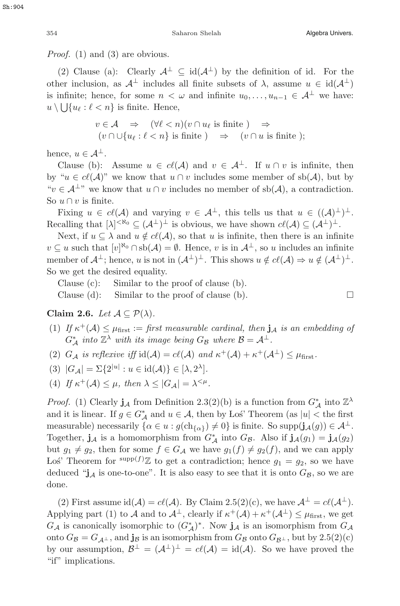Proof. (1) and (3) are obvious.

(2) Clause (a): Clearly  $\mathcal{A}^{\perp} \subseteq id(\mathcal{A}^{\perp})$  by the definition of id. For the other inclusion, as  $\mathcal{A}^{\perp}$  includes all finite subsets of  $\lambda$ , assume  $u \in id(\mathcal{A}^{\perp})$ other inclusion, as  $\mathcal{A}^{\perp}$  includes all finite subsets of  $\lambda$ , assume  $u \in \text{id}(\mathcal{A}^{\perp})$ is infinite; hence, for some  $n < \omega$  and infinite  $u_0, \ldots, u_{n-1} \in A^{\perp}$  we have:<br> $u \setminus \bigcup_{u \in A} u \in A^{\perp}$  is finite. Hence  $u \setminus \bigcup \{u_\ell : \ell < n\}$  is finite. Hence,

$$
v \in \mathcal{A} \Rightarrow (\forall \ell < n)(v \cap u_{\ell} \text{ is finite}) \Rightarrow (v \cap \cup \{u_{\ell} : \ell < n\} \text{ is finite}) \Rightarrow (v \cap u \text{ is finite});
$$

hence,  $u \in \mathcal{A}^{\perp}$ .

Clause (b): Assume  $u \in cl(\mathcal{A})$  and  $v \in \mathcal{A}^{\perp}$ . If  $u \cap v$  is infinite, then by " $u \in cl(\mathcal{A})$ " we know that  $u \cap v$  includes some member of sb( $\mathcal{A}$ ), but by " $v \in A^{\perp}$ " we know that  $u \cap v$  includes no member of sb(A), a contradiction. So  $u \cap v$  is finite.

Fixing  $u \in cl(\mathcal{A})$  and varying  $v \in \mathcal{A}^{\perp}$ , this tells us that  $u \in (1,1)^{\perp}$ . Recalling that  $[\lambda]^{<\aleph_0} \subseteq (\mathcal{A}^\perp)^\perp$  is obvious, we have shown  $c\ell(\mathcal{A}) \subseteq (\mathcal{A}^\perp)^\perp$ .<br>Note if  $u \in \lambda$  and  $u \notin c\ell(\Lambda)$ , so that  $u$  is infinite, then there is an infinite

Next, if  $u \subseteq \lambda$  and  $u \notin cl(\mathcal{A})$ , so that u is infinite, then there is an infinite  $v \subseteq u$  such that  $[v]^{\aleph_0} \cap \text{sb}(\mathcal{A}) = \emptyset$ . Hence, v is in  $\mathcal{A}^{\perp}$ , so u includes an infinite<br>momber of  $\mathcal{A}^{\perp}$ ; honce u is not in  $(\mathcal{A}^{\perp})^{\perp}$ . This shows u d  $c\ell(\mathcal{A}) \to u$  d  $(\mathcal{A}^{\perp})^{\perp}$ . member of  $\mathcal{A}^{\perp}$ ; hence, u is not in  $(\mathcal{A}^{\perp})^{\perp}$ . This shows  $u \notin cl(\mathcal{A}) \Rightarrow u \notin (\mathcal{A}^{\perp})^{\perp}$ . So we get the desired equality.

Clause (c): Similar to the proof of clause (b).

Clause (d): Similar to the proof of clause (b).  $\Box$ 

**Claim 2.6.** Let  $\mathcal{A} \subseteq \mathcal{P}(\lambda)$ .

- (1) If  $\kappa^+(\mathcal{A}) \leq \mu_{\text{first}} :=$  first measurable cardinal, then  $\mathbf{j}_\mathcal{A}$  is an embedding of  $G_A^*$  into  $\mathbb{Z}^{\lambda}$  with its image being  $G_B$  where  $\mathcal{B} = \mathcal{A}^{\perp}$ .
- (2)  $G_{\mathcal{A}}$  is reflexive iff  $\text{id}(\mathcal{A}) = cl(\mathcal{A})$  and  $\kappa^+(\mathcal{A}) + \kappa^+(\mathcal{A}^{\perp}) \leq \mu_{\text{first}}$ .

$$
(3) |G_{\mathcal{A}}| = \Sigma \{2^{|u|} : u \in \mathrm{id}(\mathcal{A})\} \in [\lambda, 2^{\lambda}].
$$

(4) If  $\kappa^+(\mathcal{A}) \leq \mu$ , then  $\lambda \leq |G_{\mathcal{A}}| = \lambda^{<\mu}$ .

*Proof.* (1) Clearly  $\mathbf{j}_\mathcal{A}$  from Definition 2.3(2)(b) is a function from  $G^*_\mathcal{A}$  into  $\mathbb{Z}^\lambda$ and it is linear. If  $g \in G_A^*$  and  $u \in A$ , then by Los' Theorem (as  $|u| <$  the first<br>measurable) necessarily  $\{g \in G, u : g(\text{ch}_{n-1}) \neq 0\}$  is finite. So supp $(i, g(x)) \in A^{\perp}$ measurable) necessarily  $\{\alpha \in u : g(\text{ch}_{\{\alpha\}}) \neq 0\}$  is finite. So supp $(j_{\mathcal{A}}(g)) \in \mathcal{A}^{\perp}$ . Together,  $\mathbf{j}_{\mathcal{A}}$  is a homomorphism from  $G_{\mathcal{A}}^*$  into  $G_{\mathcal{B}}$ . Also if  $\mathbf{j}_{\mathcal{A}}(g_1) = \mathbf{j}_{\mathcal{A}}(g_2)$ but  $g_1 \neq g_2$ , then for some  $f \in G_{\mathcal{A}}$  we have  $g_1(f) \neq g_2(f)$ , and we can apply Los' Theorem for  $\sup p(f)\mathbb{Z}$  to get a contradiction; hence  $g_1 = g_2$ , so we have deduced "i is one to one". It is also gave to soo that it is onto  $C$  is a we are deduced " $j_A$  is one-to-one". It is also easy to see that it is onto  $G_B$ , so we are done.

(2) First assume  $id(\mathcal{A}) = cl(\mathcal{A})$ . By Claim 2.5(2)(c), we have  $\mathcal{A}^{\perp} = cl(\mathcal{A}^{\perp})$ . Applying part (1) to A and to  $\mathcal{A}^{\perp}$ , clearly if  $\kappa^+(\mathcal{A}) + \kappa^+(\mathcal{A}^{\perp}) \leq \mu_{\text{first}}$ , we get  $G_{\mathcal{A}}$  is canonically isomorphic to  $(G_{\mathcal{A}}^*)^*$ . Now  $\mathbf{j}_{\mathcal{A}}$  is an isomorphism from  $G_{\mathcal{A}}$  orto  $G_{\mathcal{A}}$  but by 2.5(3)(6) onto  $G_{\mathcal{B}} = G_{\mathcal{A}^{\perp}}$ , and  $\mathbf{j}_{\mathcal{B}}$  is an isomorphism from  $G_{\mathcal{B}}$  onto  $G_{\mathcal{B}^{\perp}}$ , but by 2.5(2)(c) by our assumption,  $\mathcal{B}^{\perp} = (\mathcal{A}^{\perp})^{\perp} = c\ell(\mathcal{A}) = id(\mathcal{A})$ . So we have proved the "if" implications.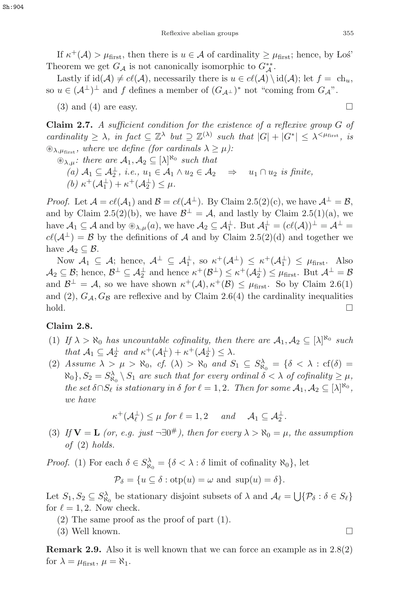If  $\kappa^+(\mathcal{A}) > \mu_{\text{first}}$ , then there is  $u \in \mathcal{A}$  of cardinality  $\geq \mu_{\text{first}}$ ; hence, by Los<sup>'</sup><br>open we get  $G_{\pm}$  is not canonically isomerable to  $G^{**}$ Theorem we get  $G_A$  is not canonically isomorphic to  $G_A^{**}$ .<br>Lastly if id(A)  $\neq$  cl(A) necessarily there is  $y \in cl(A)$ 

Lastly if  $\text{id}(A) \neq cl(A)$ , necessarily there is  $u \in cl(A) \setminus \text{id}(A)$ ; let  $f = ch_u$ , so  $u \in (\mathcal{A}^{\perp})^{\perp}$  and f defines a member of  $(G_{\mathcal{A}^{\perp}})^*$  not "coming from  $G_{\mathcal{A}}$ ".

 $(3)$  and  $(4)$  are easy.

**Claim 2.7.** A sufficient condition for the existence of a reflexive group G of cardinality  $\geq \lambda$ , in fact  $\subseteq \mathbb{Z}^{\lambda}$  but  $\supseteq \mathbb{Z}^{(\lambda)}$  such that  $|G| + |G^*| \leq \lambda^{\leq \mu_{\text{first}}}$ , is  $\mathcal{L}_{\lambda,\mu_{\text{first}}}$ , where we define (for cardinals  $\lambda \geq \mu$ ):

 $\mathcal{L}_{\lambda,\mu}$ : there are  $\mathcal{A}_1, \mathcal{A}_2 \subseteq [\lambda]^{\aleph_0}$  such that  $(a)$   $A_1 \subseteq A_2^{\perp}$ , i.e.,  $u_1 \in A_1 \wedge u_2 \in A_2 \Rightarrow u_1 \cap u_2$  is finite,<br>  $(b)$   $x^+(A_1^{\perp}) + x^+(A_2^{\perp}) \le u$ (b)  $\kappa^+(\mathcal{A}_1^{\perp}) + \kappa^+(\mathcal{A}_2^{\perp}) \leq \mu$ .

*Proof.* Let  $\mathcal{A} = c\ell(\mathcal{A}_1)$  and  $\mathcal{B} = c\ell(\mathcal{A}^{\perp})$ . By Claim 2.5(2)(c), we have  $\mathcal{A}^{\perp} = \mathcal{B}$ , and by Claim 2.5(2)(b), we have  $\mathcal{B}^{\perp} = \mathcal{A}$ , and lastly by Claim 2.5(1)(a), we have  $\mathcal{A}_1 \subseteq \mathcal{A}$  and by  $\circledast_{\lambda,\mu}(a)$ , we have  $\mathcal{A}_2 \subseteq \mathcal{A}_1^{\perp}$ . But  $\mathcal{A}_1^{\perp} = (c\ell(\mathcal{A}))^{\perp} = \mathcal{A}^{\perp} =$ <br> $c\ell(\mathcal{A}^{\perp}) = \mathcal{B}$  by the definitions of  $\mathcal{A}$  and by Claim 2.5(2)(d) and together we  $c(\mathcal{A}^{\perp}) = \mathcal{B}$  by the definitions of A and by Claim 2.5(2)(d) and together we have  $A_2 \subset \mathcal{B}$ .

Now  $A_1 \subseteq A$ ; hence,  $A^{\perp} \subseteq A_1^{\perp}$ , so  $\kappa^{\pm}(A^{\perp}) \leq \kappa^{\pm}(A_1^{\perp}) \leq \mu_{\text{first}}$ . Also  $\mathcal{A}_2 \subseteq \mathcal{B}$ ; hence,  $\mathcal{B}^{\perp} \subseteq \mathcal{A}_2^{\perp}$  and hence  $\kappa^+(\mathcal{B}^{\perp}) \leq \kappa^+(\mathcal{A}_2^{\perp}) \leq \mu_{\text{first}}$ . But  $\mathcal{A}^{\perp} = \mathcal{B}$ <br>and  $\mathcal{B}^{\perp} = A$  so we have shown  $\kappa^+(A)$ ,  $\kappa^+(\mathcal{B}) \leq \mu_{\text{max}}$ . So by Clai and  $\mathcal{B}^{\perp} = \mathcal{A}$ , so we have shown  $\kappa^+(\mathcal{A}), \kappa^+(\mathcal{B}) \leq \mu_{\text{first}}$ . So by Claim 2.6(1) and (2),  $G_{\mathcal{A}}, G_{\mathcal{B}}$  are reflexive and by Claim 2.6(4) the cardinality inequalities hold.  $\Box$ 

## **Claim 2.8.**

- (1) If  $\lambda > \aleph_0$  has uncountable cofinality, then there are  $A_1, A_2 \subseteq [\lambda]^{\aleph_0}$  such that  $A_1 \subset A^{\perp}$  and  $x^+(A^{\perp}) + x^+(A^{\perp}) \subset \lambda$ that  $\mathcal{A}_1 \subseteq \mathcal{A}_2^{\perp}$  and  $\kappa^+(\mathcal{A}_1^{\perp}) + \kappa^+(\mathcal{A}_2^{\perp}) \leq \lambda$ .<br>  $\Lambda$  seeme,  $\lambda > \mu > \aleph_0$ , ef. (1)  $> \aleph_0$  and S
- (2) Assume  $\lambda > \mu > \aleph_0$ , cf.  $(\lambda) > \aleph_0$  and  $S_1 \subseteq S_{\aleph_0}^{\lambda} = {\delta < \lambda : \text{cf.}(\delta) = \aleph_0, \lambda \in S_{\text{con}} \text{ such that for some variable } \lambda \leq \lambda \text{ of cofine}{\text{bit.}} > \mu$  $\aleph_0$ ,  $S_2 = S_{\aleph_0}^{\lambda} \setminus S_1$  are such that for every ordinal  $\delta < \lambda$  of cofinality  $\geq \mu$ ,<br>the set  $\delta S S$  is stationary in  $\delta$  for  $\ell = 1, 2$ . Then for some  $A \subseteq \{N\}_{N=1}^{\aleph_0}$ the set  $\delta \cap S_{\ell}$  is stationary in  $\delta$  for  $\ell = 1, 2$ . Then for some  $\mathcal{A}_1, \mathcal{A}_2 \subseteq [\lambda]^{\aleph_0}$ , we have

$$
\kappa^+(\mathcal{A}_{\ell}^{\perp}) \leq \mu \text{ for } \ell = 1, 2 \quad \text{ and } \quad \mathcal{A}_1 \subseteq \mathcal{A}_2^{\perp}.
$$

(3) If  $V = L$  (or, e.g. just  $\neg \exists 0^{\#}$ ), then for every  $\lambda > \aleph_0 = \mu$ , the assumption of (2) holds.

*Proof.* (1) For each  $\delta \in S^{\lambda}_{\aleph_0} = {\delta < \lambda : \delta \text{ limit of cofinality } \aleph_0}, \text{ let }$ 

 $\mathcal{P}_{\delta} = \{u \subseteq \delta : \text{otp}(u) = \omega \text{ and } \text{sup}(u) = \delta\}.$ 

Let  $S_1, S_2 \subseteq S_{\lambda_0}^{\lambda_0}$  be stationary disjoint subsets of  $\lambda$  and  $\mathcal{A}_{\ell} = \bigcup \{ \mathcal{P}_{\delta} : \delta \in S_{\ell} \}$ <br>for  $\ell = 1, 2$ . Now shock for  $\ell = 1, 2$ . Now check.

- (2) The same proof as the proof of part (1).
- $(3)$  Well known.

**Remark 2.9.** Also it is well known that we can force an example as in 2.8(2) for  $\lambda = \mu_{\text{first}}, \mu = \aleph_1$ .

$$
\Box
$$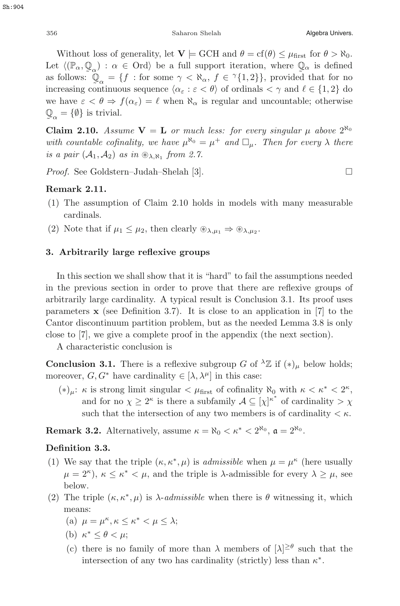Without loss of generality, let  $\mathbf{V} \models \text{GCH}$  and  $\theta = \text{cf}(\theta) \leq \mu_{\text{first}}$  for  $\theta > \aleph_0$ . Let  $\langle (\mathbb{P}_{\alpha}, \mathbb{Q}_{\alpha}) : \alpha \in \text{Ord}\rangle$  be a full support iteration, where  $\mathbb{Q}_{\alpha}$  is defined<br>as follows:  $\mathbb{Q}_{\alpha} = \{f : \text{for some } \alpha < \aleph_{\alpha}, f \in \gamma\{1, 2\}\}\)$  provided that for no as follows:  $\mathbb{Q}_{\alpha} = \{f : \text{for some } \gamma < \aleph_{\alpha}, f \in \gamma\{1,2\}\}\$ , provided that for no<br>increasing continuous sequence  $\langle \alpha, \cdot \rangle \in \langle f \rangle$  of ordinals  $\langle \gamma \rangle$  and  $f \in \{1, 2\}$  do increasing continuous sequence  $\langle \alpha_{\varepsilon} : \varepsilon \langle \theta \rangle$  of ordinals  $\langle \gamma \rangle$  and  $\ell \in \{1, 2\}$  do we have  $\varepsilon < \theta \Rightarrow f(\alpha_{\varepsilon}) = \ell$  when  $\aleph_{\alpha}$  is regular and uncountable; otherwise  $\mathbb{Q}_{\alpha} = \{\emptyset\}$  is trivial.

**Claim 2.10.** Assume  $V = L$  or much less: for every singular  $\mu$  above  $2^{\aleph_0}$ with countable cofinality, we have  $\mu^{\aleph_0} = \mu^+$  and  $\Box_{\mu}$ . Then for every  $\lambda$  there is a pair  $(\mathcal{A}_1, \mathcal{A}_2)$  as in  $\mathcal{D}_{\lambda, \aleph_1}$  from 2.7.

Proof. See Goldstern–Judah–Shelah [3]. □

#### **Remark 2.11.**

- (1) The assumption of Claim 2.10 holds in models with many measurable cardinals.
- (2) Note that if  $\mu_1 \leq \mu_2$ , then clearly  $\mathcal{L}_{\lambda,\mu_1} \Rightarrow \mathcal{L}_{\lambda,\mu_2}$ .

#### **3. Arbitrarily large reflexive groups**

In this section we shall show that it is "hard" to fail the assumptions needed in the previous section in order to prove that there are reflexive groups of arbitrarily large cardinality. A typical result is Conclusion 3.1. Its proof uses parameters  $\bf{x}$  (see Definition 3.7). It is close to an application in [7] to the Cantor discontinuum partition problem, but as the needed Lemma 3.8 is only close to [7], we give a complete proof in the appendix (the next section).

A characteristic conclusion is

**Conclusion 3.1.** There is a reflexive subgroup G of  $^{\lambda} \mathbb{Z}$  if  $(*)_\mu$  below holds; moreover,  $G, G^*$  have cardinality  $\in [\lambda, \lambda^\mu]$  in this case:

(\*)<sub>μ</sub>: κ is strong limit singular  $\lt \mu_{\text{first}}$  of cofinality  $\aleph_0$  with  $\kappa \lt \kappa^* \lt 2^{\kappa}$ , and for no  $\chi \geq 2^{\kappa}$  is there a subfamily  $\mathcal{A} \subseteq [\chi]^{\kappa^*}$  of cardinality  $> \chi$ <br>such that the intersection of any two members is of cardinality  $\leq \kappa$ . such that the intersection of any two members is of cardinality  $\lt \kappa$ .

**Remark 3.2.** Alternatively, assume  $\kappa = \aleph_0 < \kappa^* < 2^{\aleph_0}$ ,  $\mathfrak{a} = 2^{\aleph_0}$ .

#### **Definition 3.3.**

- (1) We say that the triple  $(\kappa, \kappa^*, \mu)$  is *admissible* when  $\mu = \mu^{\kappa}$  (here usually  $\mu = 2^{\kappa}$ ,  $\kappa \leq \kappa^* < \mu$ , and the triple is  $\lambda$ -admissible for every  $\lambda \geq \mu$ , see below.
- (2) The triple  $(\kappa, \kappa^*, \mu)$  is  $\lambda$ -*admissible* when there is  $\theta$  witnessing it, which means:
	- (a)  $\mu = \mu^{\kappa}, \kappa \leq \kappa^* < \mu \leq \lambda;$
	- (b)  $\kappa^* \leq \theta \leq \mu$ ;
	- (c) there is no family of more than  $\lambda$  members of  $[\lambda]^{\geq \theta}$  such that the intersection of one two has cardinality (ctrictly) loss than  $\kappa^*$ intersection of any two has cardinality (strictly) less than  $\kappa^*$ .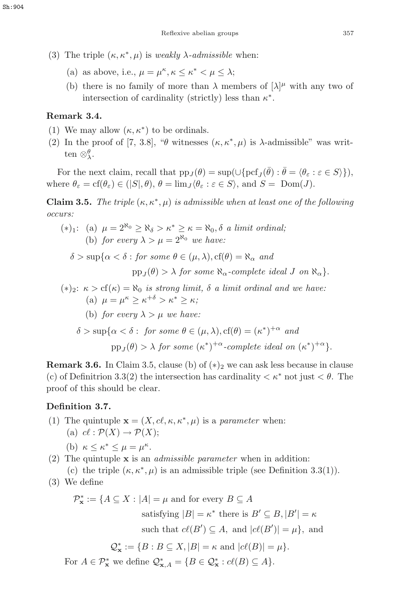- (3) The triple  $(\kappa, \kappa^*, \mu)$  is weakly  $\lambda$ -admissible when:
	- (a) as above, i.e.,  $\mu = \mu^{\kappa}, \kappa \leq \kappa^* \leq \mu \leq \lambda$ ;
	- (b) there is no family of more than  $\lambda$  members of  $[\lambda]^{\mu}$  with any two of intersection of cardinality (strictly) loss than  $\kappa^*$ intersection of cardinality (strictly) less than  $\kappa^*$ .

## **Remark 3.4.**

- (1) We may allow  $(\kappa, \kappa^*)$  to be ordinals.
- (2) In the proof of [7, 3.8], "θ witnesses  $(\kappa, \kappa^*, \mu)$  is  $\lambda$ -admissible" was written ⊗ $_{\lambda}^{\theta}$ .

For the next claim, recall that  $pp_J(\theta) = \sup(\cup \{ \text{pcf}_I(\bar{\theta}) : \bar{\theta} = \langle \theta_{\varepsilon} : \varepsilon \in S \rangle \}),$ where  $\theta_{\varepsilon} = \text{cf}(\theta_{\varepsilon}) \in (S|\theta, \theta), \theta = \lim_{J} \langle \theta_{\varepsilon} : \varepsilon \in S \rangle$ , and  $S = \text{Dom}(J)$ .

**Claim 3.5.** The triple  $(\kappa, \kappa^*, \mu)$  is admissible when at least one of the following occurs:

\n- (\*)<sub>1</sub>: \n
	\n- (a) 
	$$
	\mu = 2^{\aleph_0} \geq \aleph_{\delta} > \kappa^* \geq \kappa = \aleph_0, \delta
	$$
	 a limit ordinal;
	\n- (b) for every  $\lambda > \mu = 2^{\aleph_0}$  we have:
	\n- $\delta > \sup\{\alpha < \delta : \text{ for some } \theta \in (\mu, \lambda), c f(\theta) = \aleph_{\alpha} \text{ and } \text{pp}_J(\theta) > \lambda \text{ for some } \aleph_{\alpha}\text{-complete ideal } J \text{ on } \aleph_{\alpha}\}.$
	\n- (\*)<sub>2</sub>:  $\kappa > c f(\kappa) = \aleph_0$  is strong limit,  $\delta$  a limit ordinal and we have:
	\n- (a)  $\mu = \mu^{\kappa} \geq \kappa^{+\delta} > \kappa^* \geq \kappa;$
	\n- (b) for every  $\lambda > \mu$  we have:
	\n\n
\n

$$
\delta > \sup \{ \alpha < \delta : \text{ for some } \theta \in (\mu, \lambda), cf(\theta) = (\kappa^*)^{+\alpha} \text{ and}
$$
  
pp<sub>J</sub>(\theta) > \lambda for some  $(\kappa^*)^{+\alpha}$ -complete ideal on  $(\kappa^*)^{+\alpha}$ .

**Remark 3.6.** In Claim 3.5, clause (b) of  $(*)_2$  we can ask less because in clause (c) of Definitrion 3.3(2) the intersection has cardinality  $\langle \kappa^* \rangle$  not just  $\langle \theta \rangle$ . The proof of this should be clear.

# **Definition 3.7.**

(1) The quintuple  $\mathbf{x} = (X, c\ell, \kappa, \kappa^*, \mu)$  is a *parameter* when: (a)  $c\ell : \mathcal{P}(X) \to \mathcal{P}(X);$ 

(b) 
$$
\kappa \leq \kappa^* \leq \mu = \mu^{\kappa}
$$
.

- (b)  $\kappa \leq \kappa^* \leq \mu = \mu^{\kappa}$ .<br>(2) The quintuple **x** is an *admissible parameter* when in addition: (c) the triple  $(\kappa, \kappa^*, \mu)$  is an admissible triple (see Definition 3.3(1)).
- (3) We define

$$
\mathcal{P}_{\mathbf{x}}^* := \{ A \subseteq X : |A| = \mu \text{ and for every } B \subseteq A
$$
  
satisfying  $|B| = \kappa^*$  there is  $B' \subseteq B, |B'| = \kappa$   
such that  $c\ell(B') \subseteq A$ , and  $|c\ell(B')| = \mu\}$ , and  

$$
\mathcal{Q}_{\mathbf{x}}^* := \{ B : B \subseteq X, |B| = \kappa \text{ and } |c\ell(B)| = \mu \}.
$$

For  $A \in \mathcal{P}_{\mathbf{x}}^*$  we define  $\mathcal{Q}_{\mathbf{x},A}^* = \{B \in \mathcal{Q}_{\mathbf{x}}^* : cl(B) \subseteq A\}.$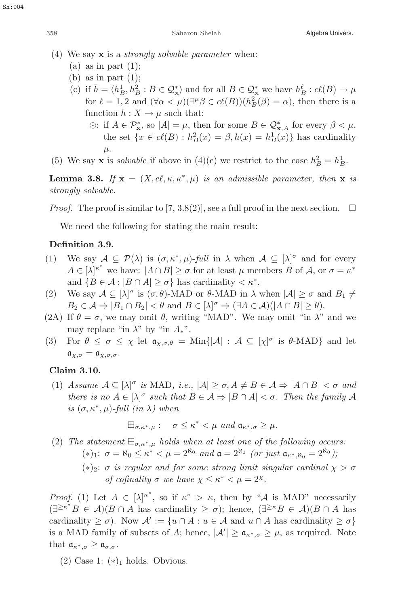(4) We say **x** is a strongly solvable parameter when:

- (a) as in part  $(1)$ ;
- (b) as in part  $(1)$ :
- (c) if  $\bar{h} = \langle h_B^1, h_B^2 : B \in \mathcal{Q}_\infty^* \rangle$  and for all  $B \in \mathcal{Q}_\infty^*$  we have  $h_B^{\ell} : c(\ell B) \to \mu$ <br>for  $\ell = 1, 2$  and  $(\forall \alpha \leq \mu) (\exists^{\mu} \beta \in c(\ell B)) (h^2(\beta) = \alpha)$ , then there is a for  $\ell = 1, 2$  and  $(\forall \alpha < \mu)(\exists^{\mu} \beta \in cl(B))(h_B^2(\beta) = \alpha)$ , then there is a function  $h: X \to u$  such that function  $h: X \to \mu$  such that:
	- $\odot$ : if  $A \in \mathcal{P}_{\mathbf{x}}^*$ , so  $|A| = \mu$ , then for some  $B \in \mathcal{Q}_{\mathbf{x},A}^*$  for every  $\beta < \mu$ ,<br>the set  $\{x \in e^{\ell(R)} : h^2(x) = \beta, h(x) = h^1(x) \}$  has cardinality the set  $\{x \in cl(B) : h_B^2(x) = \beta, h(x) = h_B^1(x)\}\$  has cardinality μ.
- (5) We say **x** is *solvable* if above in (4)(c) we restrict to the case  $h_B^2 = h_B^1$ .

**Lemma 3.8.** If  $\mathbf{x} = (X, c\ell, \kappa, \kappa^*, \mu)$  is an admissible parameter, then  $\mathbf{x}$  is strongly solvable.

*Proof.* The proof is similar to [7, 3.8(2)], see a full proof in the next section.  $\Box$ 

We need the following for stating the main result:

# **Definition 3.9.**

- (1) We say  $A \subseteq \mathcal{P}(\lambda)$  is  $(\sigma, \kappa^*, \mu)$ -full in  $\lambda$  when  $A \subseteq [\lambda]^\sigma$  and for every  $A \subseteq [\lambda]^{k^*}$  we have  $|A \cap B| > \sigma$  for at losst  $\mu$  members  $B$  of  $A$  or  $\sigma = \kappa^*$  $A \in [\lambda]^{\kappa^*}$  we have:  $|A \cap B| \ge \sigma$  for at least  $\mu$  members  $B$  of  $\mathcal{A}$ , or  $\sigma = \kappa^*$ and  ${B \in \mathcal{A} : |B \cap A| \geq \sigma}$  has cardinality  $\lt \kappa^*$ .
- (2) We say  $A \subseteq [\lambda]^\sigma$  is  $(\sigma, \theta)$ -MAD or  $\theta$ -MAD in  $\lambda$  when  $|A| \ge \sigma$  and  $B_1 \ne B_1 \subset A \Rightarrow |B_1 \cap B_2| \ge \theta$  and  $B_1 \subset [\lambda]^\sigma \Rightarrow (\exists A \subset A)(|A \cap B| \ge \theta)$  $B_2 \in \mathcal{A} \Rightarrow |B_1 \cap B_2| < \theta$  and  $B \in [\lambda]^\sigma \Rightarrow (\exists A \in \mathcal{A}) (|A \cap B| \ge \theta).$ <br>If  $\theta = \sigma$ , we may omit  $\theta$ , writing "MAD". We may omit "in  $\lambda$ "
- (2A) If  $\theta = \sigma$ , we may omit  $\theta$ , writing "MAD". We may omit "in  $\lambda$ " and we may replace "in  $\lambda$ " by "in  $A_*$ ".
- (3) For  $\theta \leq \sigma \leq \chi$  let  $\mathfrak{a}_{\chi,\sigma,\theta} = \text{Min}\{|\mathcal{A}| : \mathcal{A} \subseteq [\chi]^\sigma \text{ is } \theta\text{-MAD}\}\$  and let  $a_{\chi,\sigma} = a_{\chi,\sigma,\sigma}.$

# **Claim 3.10.**

(1) Assume  $A \subseteq [\lambda]^\sigma$  is MAD, i.e.,  $|\mathcal{A}| \ge \sigma, A \ne B \in \mathcal{A} \Rightarrow |\mathcal{A} \cap \mathcal{B}| < \sigma$  and<br>there is no  $A \subseteq [\lambda]^\sigma$  such that  $B \subseteq A \Rightarrow |B \cap A| < \sigma$ . Then the family A there is no  $A \in [\lambda]^\sigma$  such that  $B \in \mathcal{A} \Rightarrow |B \cap A| < \sigma$ . Then the family  $\mathcal{A}$ <br>is  $(\sigma \kappa^* \cup \mathcal{A})$  full (in ) when is  $(\sigma, \kappa^*, \mu)$ -full (in  $\lambda$ ) when

$$
\boxplus_{\sigma,\kappa^*,\mu}:\quad \sigma\leq\kappa^*<\mu\ \text{and}\ \mathfrak{a}_{\kappa^*,\sigma}\geq\mu.
$$

- (2) The statement  $\mathbb{E}_{\sigma,\kappa^*,\mu}$  holds when at least one of the following occurs: (\*)<sub>1</sub>:  $\sigma = \aleph_0 \leq \kappa^* < \mu = 2^{\aleph_0}$  and  $\mathfrak{a} = 2^{\aleph_0}$  (or just  $\mathfrak{a}_{\kappa^*, \aleph_0} = 2^{\aleph_0}$ );
	- (\*)<sub>2</sub>:  $\sigma$  is regular and for some strong limit singular cardinal  $\chi > \sigma$ of cofinality  $\sigma$  we have  $\chi \leq \kappa^* \leq \mu = 2^{\chi}$ .

Proof. (1) Let  $A \in [\lambda]^{\kappa^*}$ , so if  $\kappa^* > \kappa$ , then by " $\mathcal A$  is MAD" necessarily  $(\exists^{>}\kappa^* R \in \Lambda)(R \cap A)$  has earlinglity  $\geq \kappa$ ); hange  $(\exists^{>}\kappa R \in \Lambda)(R \cap A)$  has  $(\exists^{\geq \kappa^*} B \in \mathcal{A})(B \cap A)$  has cardinality  $\geq \sigma$ ); hence,  $(\exists^{\geq \kappa} B \in \mathcal{A})(B \cap A)$  has cardinality  $\geq \sigma$ ). Now  $\mathcal{A}' := \{u \cap A : u \in \mathcal{A} \text{ and } u \cap A \text{ has cardinality } \geq \sigma\}$ is a MAD family of subsets of A; hence,  $|\mathcal{A}'| \ge \mathfrak{a}_{\kappa^*,\sigma} \ge \mu$ , as required. Note that  $\mathfrak{a}_{\kappa^*,\sigma}\geq \mathfrak{a}_{\sigma,\sigma}.$ 

(2) Case 1:  $(*)_1$  holds. Obvious.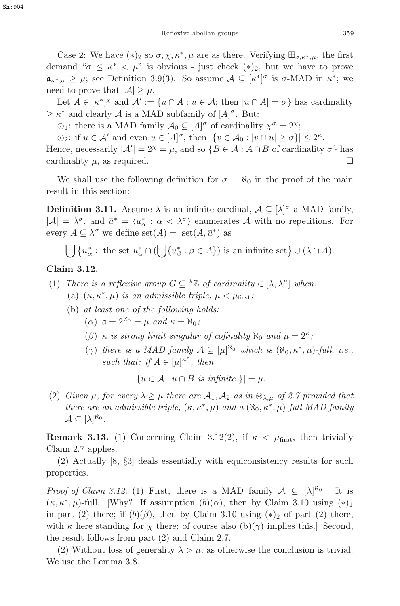<u>Case 2</u>: We have  $(*)_2$  so  $\sigma, \chi, \kappa^*, \mu$  are as there. Verifying  $\boxplus_{\sigma,\kappa^*,\mu}$ , the first demand " $\sigma \leq \kappa^* \langle \mu \rangle$ " is obvious - just check  $(*)_2$ , but we have to prove  $a_{\kappa^*,\sigma} \geq \mu$ ; see Definition 3.9(3). So assume  $\mathcal{A} \subseteq [\kappa^*]^{\sigma}$  is  $\sigma$ -MAD in  $\kappa^*$ ; we need to prove that  $|A| > \mu$ . need to prove that  $|\mathcal{A}| \geq \mu$ .

Let  $A \in [\kappa^*]^{\chi}$  and  $\mathcal{A}' := \{u \cap A : u \in \mathcal{A}; \text{ then } |u \cap A| = \sigma\}$  has cardinality  $\kappa^*$  and clearly  $A$  is a MAD subfamily of  $[A]^\sigma$ . But:  $\geq \kappa^*$  and clearly A is a MAD subfamily of  $[A]^\sigma$ . But:<br> $\odot \cdot$  there is a MAD family  $A_\circ \subset [A]^\sigma$  of cardinality

 $\odot_1$ : there is a MAD family  $\mathcal{A}_0 \subseteq [A]^\sigma$  of cardinality  $\chi^\sigma = 2^\chi$ ;<br>  $\odot_2$ : if  $u \in \Lambda'$  and over  $u \in [A]^\sigma$ , then  $[x \in A_2 : |u \cap u| > \sigma$ 

 $\odot_2$ : if  $u \in \mathcal{A}'$  and even  $u \in [A]^\sigma$ , then  $|\{v \in \mathcal{A}_0 : |v \cap u| \geq \sigma\}| \leq 2^\kappa$ . Hence, necessarily  $|\mathcal{A}'| = 2^{\chi} = \mu$ , and so  $\{B \in \mathcal{A} : A \cap B$  of cardinality  $\sigma\}$  has cardinality  $\mu$ , as required.  $\square$ 

We shall use the following definition for  $\sigma = \aleph_0$  in the proof of the main result in this section:

**Definition 3.11.** Assume  $\lambda$  is an infinite cardinal,  $\mathcal{A} \subseteq [\lambda]^\sigma$  a MAD family,  $\vert A \vert = \lambda^\sigma$  and  $\bar{v}^* = \langle v^* \rangle$   $\infty$   $\leq \lambda^\sigma$ ) equivariates A with no constitions. For  $|\mathcal{A}| = \lambda^{\sigma}$ , and  $\bar{u}^* = \langle u^*_{\alpha} : \alpha < \lambda^{\sigma} \rangle$  enumerates A with no repetitions. For every  $A \subseteq \lambda^{\sigma}$  we define set $(A) =$  set $(A, \bar{u}^*)$  as

$$
\bigcup \left\{ u_{\alpha}^* : \text{ the set } u_{\alpha}^* \cap (\bigcup \{ u_{\beta}^* : \beta \in A \}) \text{ is an infinite set} \right\} \cup (\lambda \cap A).
$$

#### **Claim 3.12.**

- (1) There is a reflexive group  $G \subseteq {}^{\lambda} \mathbb{Z}$  of cardinality  $\in [\lambda, \lambda^{\mu}]$  when: (a)  $(\kappa, \kappa^*, \mu)$  is an admissible triple,  $\mu < \mu_{\text{first}}$ ;
	- (b) at least one of the following holds:  $(\alpha) \mathfrak{a} = 2^{\aleph_0} = \mu \text{ and } \kappa = \aleph_0;$ 
		- (β)  $\kappa$  is strong limit singular of cofinality  $\aleph_0$  and  $\mu = 2^{\kappa}$ ;
		- ( $\gamma$ ) there is a MAD family  $A \subseteq [\mu]^{\aleph_0}$  which is  $(\aleph_0, \kappa^*, \mu)$ -full, i.e., such that: if  $A \in [\mu]^{\kappa^*}$ , then

 $|\{u \in \mathcal{A} : u \cap B \text{ is infinite }\}| = \mu.$ 

(2) Given  $\mu$ , for every  $\lambda \geq \mu$  there are  $\mathcal{A}_1, \mathcal{A}_2$  as in  $\mathcal{D}_{\lambda,\mu}$  of 2.7 provided that there are an admissible triple,  $(\kappa, \kappa^*, \mu)$  and a  $(\aleph_0, \kappa^*, \mu)$ -full MAD family  $A \subseteq [\lambda]^{\aleph_0}.$ 

**Remark 3.13.** (1) Concerning Claim 3.12(2), if  $\kappa < \mu_{\text{first}}$ , then trivially Claim 2.7 applies.

(2) Actually [8, §3] deals essentially with equiconsistency results for such properties.

*Proof of Claim 3.12.* (1) First, there is a MAD family  $\mathcal{A} \subseteq [\lambda]^{\aleph_0}$ . It is  $(\kappa, \kappa^*, \mu)$ -full. [Why? If assumption  $(b)(\alpha)$ , then by Claim 3.10 using  $(*)_1$ in part (2) there; if  $(b)(\beta)$ , then by Claim 3.10 using  $(*)_2$  of part (2) there, with  $\kappa$  here standing for  $\chi$  there; of course also (b)( $\gamma$ ) implies this.] Second, the result follows from part (2) and Claim 2.7.

(2) Without loss of generality  $\lambda > \mu$ , as otherwise the conclusion is trivial. We use the Lemma 3.8.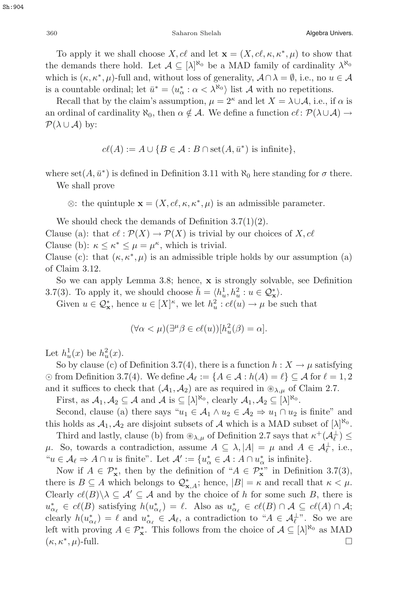To apply it we shall choose X, cl and let  $\mathbf{x} = (X, c\ell, \kappa, \kappa^*, \mu)$  to show that the demands there hold. Let  $\mathcal{A} \subseteq [\lambda]^{\aleph_0}$  be a MAD family of cardinality  $\lambda^{\aleph_0}$ <br>which is  $(\kappa \kappa^* \mu)$  full and without loss of generality  $A \cap \lambda = \emptyset$  i.e., no  $\mu \in \Lambda$ which is  $(\kappa, \kappa^*, \mu)$ -full and, without loss of generality,  $A \cap \lambda = \emptyset$ , i.e., no  $u \in A$ is a countable ordinal; let  $\bar{u}^* = \langle u^*_{\alpha} : \alpha < \lambda^{\aleph_0} \rangle$  list A with no repetitions.<br>Recall that by the claim's assumption  $u = 2^{\kappa}$  and let  $X = \lambda + 4$  i.e., i.e.

Recall that by the claim's assumption,  $\mu = 2^{\kappa}$  and let  $X = \lambda \cup A$ , i.e., if  $\alpha$  is an ordinal of cardinality  $\aleph_0$ , then  $\alpha \notin \mathcal{A}$ . We define a function  $cl : \mathcal{P}(\lambda \cup \mathcal{A}) \rightarrow$  $\mathcal{P}(\lambda \cup \mathcal{A})$  by:

$$
cl(A) := A \cup \{ B \in \mathcal{A} : B \cap \text{set}(A, \bar{u}^*) \text{ is infinite} \},
$$

where set( $A, \bar{u}^*$ ) is defined in Definition 3.11 with  $\aleph_0$  here standing for  $\sigma$  there.

We shall prove

 $\otimes$ : the quintuple  $\mathbf{x} = (X, c\ell, \kappa, \kappa^*, \mu)$  is an admissible parameter.

We should check the demands of Definition  $3.7(1)(2)$ .

Clause (a): that  $c \ell : \mathcal{P}(X) \to \mathcal{P}(X)$  is trivial by our choices of X, cl Clause (b):  $\kappa \leq \kappa^* \leq \mu = \mu^{\kappa}$ , which is trivial.

Clause (c): that  $(\kappa, \kappa^*, \mu)$  is an admissible triple holds by our assumption (a) of Claim 3.12.

So we can apply Lemma 3.8; hence, **x** is strongly solvable, see Definition 3.7(3). To apply it, we should choose  $\bar{h} = \langle h_u^1, h_u^2 : u \in \mathcal{Q}_\infty^* \rangle$ .<br>Civen  $u \in \mathcal{Q}^*$ , hence  $u \in [X]^{\kappa}$ , we let  $h^2 : e^{\ell(u)} \to u$  he so

Given  $u \in \mathcal{Q}_{\mathbf{x}}^*$ , hence  $u \in [X]^{\kappa}$ , we let  $h_u^2 : cl(u) \to \mu$  be such that

$$
(\forall \alpha < \mu)(\exists^{\mu} \beta \in c\ell(u))[h_u^2(\beta) = \alpha].
$$

Let  $h_u^1(x)$  be  $h_u^2(x)$ .<br>So by clause (c) a

So by clause (c) of Definition 3.7(4), there is a function  $h: X \to \mu$  satisfying  $\odot$  from Definition 3.7(4). We define  $\mathcal{A}_{\ell} := \{A \in \mathcal{A} : h(A) = \ell\} \subseteq \mathcal{A}$  for  $\ell = 1, 2$ and it suffices to check that  $(\mathcal{A}_1, \mathcal{A}_2)$  are as required in  $\mathcal{D}_{\lambda,\mu}$  of Claim 2.7.

First, as  $A_1, A_2 \subseteq A$  and  $A$  is  $\subseteq [\lambda]^{\aleph_0}$ , clearly  $A_1, A_2 \subseteq [\lambda]^{\aleph_0}$ .<br>Second glauge (a) there says "at  $\subseteq A_1 \wedge a$  is  $\subseteq A_2 \Rightarrow a \cup Q$ ".

Second, clause (a) there says " $u_1 \in A_1 \wedge u_2 \in A_2 \Rightarrow u_1 \cap u_2$  is finite" and this holds as  $\mathcal{A}_1, \mathcal{A}_2$  are disjoint subsets of  $\mathcal A$  which is a MAD subset of  $[\lambda]^{\aleph_0}$ .<br>Third and lastly clause (b) from  $\hat x$ , of Definition 2.7 says that  $x^+(\mathcal A^{\perp})$ .

Third and lastly, clause (b) from  $\mathcal{D}_{\lambda,\mu}$  of Definition 2.7 says that  $\kappa^+(\mathcal{A}_{\ell}^{\perp}) \leq$ μ. So, towards a contradiction, assume  $A \subseteq \lambda$ , |A| = μ and  $A \in \mathcal{A}_{\ell}^{\perp}$ , i.e.,  $\mu_{\ell} \in \Lambda_{\ell}$ ,  $\lambda_{\ell} \in \Lambda_{\ell}$ ,  $\lambda_{\ell} \in \Lambda_{\ell}$ ,  $\lambda_{\ell} \in \Lambda_{\ell}$ ,  $\lambda_{\ell} \in \Lambda_{\ell}$ ,  $\lambda_{\ell} \in \Lambda_{\ell}$ ,  $\lambda_{\ell} \in \Lambda_{\ell}$ ,  $\lambda_{\ell$ " $u \in \mathcal{A}_{\ell} \Rightarrow A \cap u$  is finite". Let  $\mathcal{A}' := \{u_{\alpha}^* \in \mathcal{A} : A \cap u_{\alpha}^* \text{ is infinite}\}.$ <br>Now if  $A \in \mathcal{D}^*$  then by the definition of " $A \in \mathcal{D}^*$ " in Definition

Now if  $A \in \mathcal{P}_{\mathbf{x}}^*$ , then by the definition of " $A \in \mathcal{P}_{\mathbf{x}}^{*}$ " in Definition 3.7(3), there is  $B \subseteq A$  which belongs to  $\mathcal{Q}_{\mathbf{x},A}^*$ ; hence,  $|B| = \kappa$  and recall that  $\kappa < \mu$ .<br>Closely  $e^{\ell(B)} \setminus \subset A' \subset A$  and by the choice of h for some such  $B$ , there is Clearly  $c(\mathcal{B})\setminus \lambda \subseteq \mathcal{A}' \subseteq \mathcal{A}$  and by the choice of h for some such B, there is  $u_{\alpha_{\ell}}^* \in cl(B)$  satisfying  $h(u_{\alpha_{\ell}}^*) = \ell$ . Also as  $u_{\alpha_{\ell}}^* \in cl(B) \cap \mathcal{A} \subseteq cl(A) \cap \mathcal{A}$ ;<br>closely  $h(x^*) = \ell$  and  $x^* \subseteq \mathcal{A}$ , a contradiction to " $\mathcal{A} \subseteq \mathcal{A}^{\perp}$ ". So we are clearly  $h(u_{\alpha_{\ell}}^{*}) = \ell$  and  $u_{\alpha_{\ell}}^{*} \in \mathcal{A}_{\ell}$ , a contradiction to " $A \in \mathcal{A}_{\ell}^{\perp}$ ". So we are<br>left with province  $A \subseteq \mathcal{D}^{*}$ . This follows from the choice of  $A \subseteq \{1\}^{R_0}$  as MAD left with proving  $A \in \mathcal{P}_{\mathbf{x}}^*$ . This follows from the choice of  $\mathcal{A} \subseteq [\lambda]^{\aleph_0}$  as MAD  $(\kappa, \kappa^*, \mu)$ -full.  $\Box$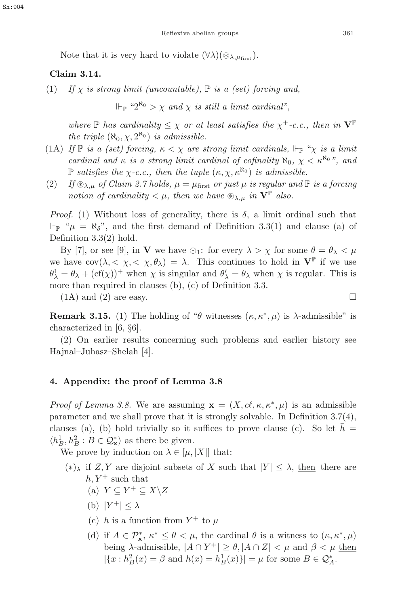Note that it is very hard to violate  $(\forall \lambda)(\circledast_{\lambda,\mu_{\text{first}}}).$ 

# **Claim 3.14.**

(1) If  $\chi$  is strong limit (uncountable),  $\mathbb P$  is a (set) forcing and,

 $\mathbb{P} \mathbb{P}^{n_2 \aleph_0} > \chi$  and  $\chi$  is still a limit cardinal".

where  $\mathbb P$  has cardinality  $\leq \chi$  or at least satisfies the  $\chi^+$ -c.c., then in  $\mathbf V^{\mathbb P}$ the triple  $(\aleph_0, \chi, 2^{\aleph_0})$  is admissible.

- (1A) If  $\mathbb P$  is a (set) forcing,  $\kappa < \chi$  are strong limit cardinals,  $\Vdash_{\mathbb P}$  " $\chi$  is a limit cardinal and  $\kappa$  is a strong limit cardinal of cofinality  $\aleph_0$ ,  $\chi < \kappa^{\aleph_0}$ ", and P satisfies the  $\chi$ -c.c., then the tuple  $(\kappa, \chi, \kappa^{\aleph_0})$  is admissible.
- (2) If  $\mathcal{L}_{\lambda,\mu}$  of Claim 2.7 holds,  $\mu = \mu_{\text{first}}$  or just  $\mu$  is regular and  $\mathbb P$  is a forcing notion of cardinality  $\lt \mu$ , then we have  $\mathcal{L}_{\lambda}$  in  $\mathbf{V}^{\mathbb{P}}$  also.

*Proof.* (1) Without loss of generality, there is  $\delta$ , a limit ordinal such that  $\Vdash_{\mathbb{P}}$  " $\mu = \aleph_{\delta}$ ", and the first demand of Definition 3.3(1) and clause (a) of Definition 3.3(2) hold.

By [7], or see [9], in **V** we have  $\odot_1$ : for every  $\lambda > \chi$  for some  $\theta = \theta_{\lambda} < \mu$ we have  $cov(\lambda, \langle \chi, \langle \chi, \theta_\lambda \rangle) = \lambda$ . This continues to hold in  $V^{\mathbb{P}}$  if we use  $\theta_{\lambda}^1 = \theta_{\lambda} + (\text{cf}(\chi))^+$  when  $\chi$  is singular and  $\theta_{\lambda}' = \theta_{\lambda}$  when  $\chi$  is regular. This is more than required in clauses (b) (c) of Definition 3.3 more than required in clauses (b), (c) of Definition 3.3.

 $(1A)$  and  $(2)$  are easy.

**Remark 3.15.** (1) The holding of " $\theta$  witnesses  $(\kappa, \kappa^*, \mu)$  is  $\lambda$ -admissible" is characterized in [6, §6].

(2) On earlier results concerning such problems and earlier history see Hajnal–Juhasz–Shelah [4].

## **4. Appendix: the proof of Lemma 3.8**

Proof of Lemma 3.8. We are assuming  $\mathbf{x} = (X, c\ell, \kappa, \kappa^*, \mu)$  is an admissible parameter and we shall prove that it is strongly solvable. In Definition 3.7(4), clauses (a), (b) hold trivially so it suffices to prove clause (c). So let  $\bar{h}$  =  $\langle h_B^1, h_B^2 : B \in \mathcal{Q}_{\mathbf{x}}^* \rangle$  as there be given.<br>We prove by induction on  $\bigwedge_{i=1}^{\infty}$ 

We prove by induction on  $\lambda \in [\mu, |X|]$  that:

- (\*)<sub>λ</sub> if Z, Y are disjoint subsets of X such that  $|Y| \leq \lambda$ , then there are  $h, Y^+$  such that
	- (a)  $Y \subset Y^+ \subset X \backslash Z$
	- (b)  $|Y^+| \leq \lambda$
	- (c) h is a function from  $Y^+$  to  $\mu$
	- (d) if  $A \in \mathcal{P}_x^*, \kappa^* \leq \theta < \mu$ , the cardinal  $\theta$  is a witness to  $(\kappa, \kappa^*, \mu)$ <br>being a semigraphic  $|A \cap Y^+| > \theta |A \cap Z| < \mu$  and  $\beta < \mu$  then being  $\lambda$ -admissible,  $|A \cap Y^+| \ge \theta$ ,  $|A \cap Z| < \mu$  and  $\beta < \mu$  then  $|\{x : h_B^2(x) = \beta \text{ and } h(x) = h_B^1(x)\}| = \mu \text{ for some } B \in \mathcal{Q}_A^*$ .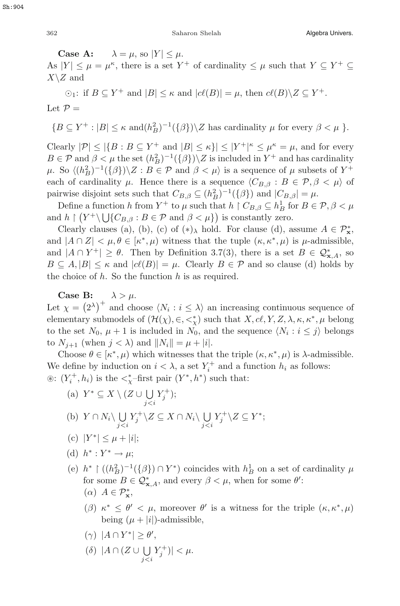**Case A:**  $\lambda = \mu$ , so  $|Y| \leq \mu$ .<br>  $|V| \leq \mu - \mu^{\kappa}$  there is a set Y As  $|Y| \leq \mu = \mu^{\kappa}$ , there is a set  $Y^+$  of cardinality  $\leq \mu$  such that  $Y \subseteq Y^+ \subseteq Y \setminus Z$  and  $X\backslash Z$  and

 $\odot_1$ : if  $B \subseteq Y^+$  and  $|B| \leq \kappa$  and  $|c\ell(B)| = \mu$ , then  $c\ell(B) \setminus Z \subseteq Y^+$ . Let  $\mathcal{P} =$ 

 ${B \subseteq Y^+ : |B| \leq \kappa \text{ and } (h_B^2)^{-1}(\{\beta\}) \setminus Z \text{ has cardinality } \mu \text{ for every } \beta < \mu }$ .

Clearly  $|\mathcal{P}| \leq |\{B : B \subseteq Y^+ \text{ and } |B| \leq \kappa\}| \leq |Y^+|^{\kappa} \leq \mu^{\kappa} = \mu$ , and for every  $B \in \mathcal{D}$  and  $\beta < \mu$  the set  $(h^2)^{-1}(\{A\}) \leq \kappa$  is included in  $Y^+$  and has cardinality  $B \in \mathcal{P}$  and  $\beta < \mu$  the set  $(h_B^2)^{-1}(\{\beta\}) \setminus Z$  is included in  $Y^+$  and has cardinality<br> $\mu$ , So  $((h^2)^{-1}(f\beta)) \setminus Z$ ,  $B \in \mathcal{P}$  and  $\beta < \mu$  is a socurate of  $\mu$  subsets of  $Y^+$ μ. So  $\langle (h_B^2)^{-1}(\{\beta\})\rangle Z$ :  $B \in \mathcal{P}$  and  $\beta < \mu$  is a sequence of μ subsets of Y<sup>+</sup><br>case of explicitly μ. Hence there is a sequence  $C_{\mathcal{P}}$  a  $\leq$   $B \in \mathcal{P}$ ,  $\beta < \mu$ ) of each of cardinality  $\mu$ . Hence there is a sequence  $\langle C_{B,\beta} : B \in \mathcal{P}, \beta < \mu \rangle$  of pairwise disjoint sets such that  $C_{B,\beta} \subseteq (h_B^2)^{-1}(\{\beta\})$  and  $|C_{B,\beta}| = \mu$ .<br>Define a function b from Y<sup>+</sup> to u such that b  $\restriction C_{B,\beta} \subseteq h^1$  for  $B \subseteq$ 

Define a function h from  $Y^+$  to  $\mu$  such that  $h \restriction C_{B,\beta} \subseteq h_B^1$  for  $B \in \mathcal{P}, \beta < \mu$ <br>b f  $(Y^+ \setminus \bigcup_{B \in \mathcal{P}} C_{B, \beta} \subseteq \mathcal{P}$  and  $\beta < \mu$ ) is constantly zero. and  $h \restriction (Y^+ \setminus \bigcup \{C_{B,\beta} : B \in \mathcal{P} \text{ and } \beta < \mu \})$  is constantly zero.<br>Cloarly clauses (a) (b) (c) of (x), hold. For clause (d) a

Clearly clauses (a), (b), (c) of  $(*)_\lambda$  hold. For clause (d), assume  $A \in \mathcal{P}^*_\mathbf{x}$ ,<br>d  $|A \cap Z| \leq u, \theta \in [\epsilon^*, u]$  witness that the tuple  $(\kappa \epsilon^*, u)$  is u admissible and  $|A \cap Z| < \mu, \theta \in [\kappa^*, \mu)$  witness that the tuple  $(\kappa, \kappa^*, \mu)$  is  $\mu$ -admissible, and  $|A \cap Y^+| \ge \theta$ . Then by Definition 3.7(3), there is a set  $B \in \mathcal{Q}_{\mathbf{x},A}^*$ , so  $B \subset A |B| \le \kappa$  and  $|e(\ell B)| = \mu$ . Cloarly  $B \in \mathcal{D}$  and so clause (d) holds by  $B \subseteq A, |B| \leq \kappa$  and  $|c\ell(B)| = \mu$ . Clearly  $B \in \mathcal{P}$  and so clause (d) holds by the choice of  $h$ . So the function  $h$  is as required.

**Case B:**  $\lambda > \mu$ .

Let  $\chi = (2^{\lambda})^+$  and choose  $\langle N_i : i \leq \lambda \rangle$  an increasing continuous sequence of elementary submodels of  $(\mathcal{H}(\lambda) \subset \mathcal{L}^*)$  such that  $X$  of  $Y$ ,  $Z$   $\lambda$  is  $\kappa^*$  is belong elementary submodels of  $(\mathcal{H}(\chi), \in, \leq^*_{\chi})$  such that  $X, cl, Y, Z, \lambda, \kappa, \kappa^*, \mu$  belong<br>to the set  $N_{\kappa}, \mu + 1$  is included in  $N_{\kappa}$  and the sequence  $(N_{\kappa}, i \leq \delta)$  belongs to the set  $N_0$ ,  $\mu + 1$  is included in  $N_0$ , and the sequence  $\langle N_i : i \leq j \rangle$  belongs to  $N_{i+1}$  (when  $j < \lambda$ ) and  $||N_i|| = \mu + |i|$ .

Choose  $\theta \in [\kappa^*, \mu)$  which witnesses that the triple  $(\kappa, \kappa^*, \mu)$  is  $\lambda$ -admissible. We define by induction on  $i < \lambda$ , a set  $Y_i^+$  and a function  $h_i$  as follows:<br>  $\hat{f}(\lambda)$  is the  $\lambda^*$ -first pair  $(Y^* h^*)$  such that:  $\circledast$ :  $(Y_i^+, h_i)$  is the  $\lt^*_\chi$ -first pair  $(Y^*, h^*)$  such that:

- (a)  $Y^* \subseteq X \setminus (Z \cup \bigcup_{j$ (b)  $Y \cap N_i \setminus \bigcup_{j < i} Y_j^+ \setminus Z \subseteq X \cap N_i \setminus \bigcup_{j < i} Y_j^+ \setminus Z \subseteq Y^*;$
- (c)  $|Y^*| < \mu + i$
- (d)  $h^*: Y^* \to \mu$ ;
- (e)  $h^* \restriction ((h^2_B)^{-1}(\{\beta\}) \cap Y^*)$  coincides with  $h^1_B$  on a set of cardinality  $\mu$ <br>for some  $B \subseteq O^*$  and system  $\beta \leq \mu$ , when for some  $g'$ . for some  $B \in \mathcal{Q}_{\mathbf{x},A}^*$ , and every  $\beta < \mu$ , when for some  $\theta'$ :  $(\alpha)$   $A \in \mathcal{P}_{\mathbf{x}}^*$ ,
	- (β)  $\kappa^* \leq \theta' < \mu$ , moreover  $\theta'$  is a witness for the triple  $(\kappa, \kappa^*, \mu)$ being  $(\mu + |i|)$ -admissible,
	- ( $\gamma$ )  $|A \cap Y^*| \ge \theta'$ ,
	- (δ)  $|A \cap (Z \cup \bigcup_{j.$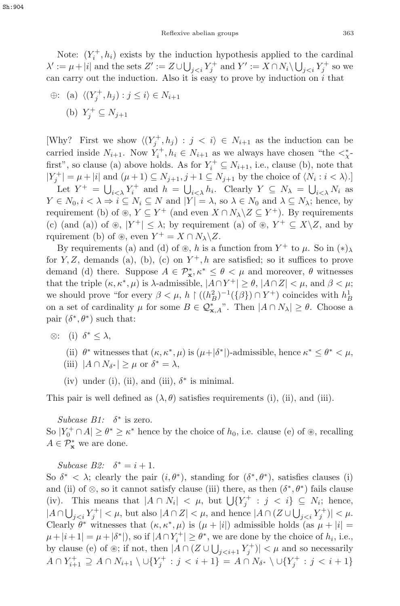Note:  $(Y_i^+, h_i)$  exists by the induction hypothesis applied to the cardinal<br> $\cdots$   $u + |i|$  and the sets  $Z' \cdots Z + |1| = Y^+$  and  $Y' \cdots X \cap N \setminus 1 = Y^+$  so we  $\lambda' := \mu + |i|$  and the sets  $Z' := Z \cup \bigcup_{j < i} Y_j^+$  and  $Y' := X \cap N_i \setminus \bigcup_{j < i} Y_j^+$  so we<br>can carry out the induction. Also it is open to prove by induction on i that can carry out the induction. Also it is easy to prove by induction on  $i$  that

$$
\oplus: \text{ (a) } \langle (Y_j^+, h_j) : j \le i \rangle \in N_{i+1}
$$
\n
$$
\text{(b) } Y_j^+ \subseteq N_{j+1}
$$

[Why? First we show  $\langle (Y_j^+, h_j) : j < i \rangle \in N_{i+1}$  as the induction can be appriod inside  $N_{i+1}$ . Now  $Y^+$  h  $\subset N_{i+1}$  as we always have above "the  $\prec^*$ carried inside  $N_{i+1}$ . Now  $Y_i^+, h_i \in N_{i+1}$  as we always have chosen "the  $\lt^*_{\chi^+}$ " first", so clause (a) above holds. As for  $Y_i^+ \subseteq N_{i+1}$ , i.e., clause (b), note that  $|Y_{i-1}^+| = u + |i|$  and  $(u+1) \subseteq N_{i+1}$ ,  $i+1 \subseteq N_{i+1}$ , by the choice of  $(N_i, i \leq \lambda)$ .  $|Y_j^+| = \mu + |i|$  and  $(\mu + 1) \subseteq N_{j+1}, j+1 \subseteq N_{j+1}$  by the choice of  $\langle N_i : i < \lambda \rangle$ . Let  $Y^+ = \bigcup_{i \in \lambda} Y_i^+$  and  $h = \bigcup_{i \in \lambda} h_i$ . Clearly  $Y \subseteq N_\lambda = \bigcup_{i \in \lambda} N_i$  as  $Y \in N_0, i < \lambda \Rightarrow i \subseteq N_i \subseteq N$  and  $|Y| = \lambda$ , so  $\lambda \in N_0$  and  $\lambda \subseteq N_\lambda$ ; hence, by requirement (b) of  $\mathfrak{B}, Y \subseteq Y^+$  (and even  $X \cap N_\lambda \backslash Z \subseteq Y^+$ ). By requirements (c) (and (a)) of  $\mathcal{L}, |Y^+| \leq \lambda$ ; by requirement (a) of  $\mathcal{L}, Y^+ \subseteq X\setminus Z$ , and by rquirement (b) of  $\mathcal{L}$ , even  $Y^+ = X \cap N_\lambda \backslash Z$ .

By requirements (a) and (d) of  $\mathcal{F}$ , h is a function from Y<sup>+</sup> to  $\mu$ . So in  $(*)_{\lambda}$ for Y, Z, demands (a), (b), (c) on  $Y^+, h$  are satisfied; so it suffices to prove demand (d) there. Suppose  $A \in \mathcal{P}_x^*, \kappa^* \leq \theta < \mu$  and moreover,  $\theta$  witnesses that the triple  $(\kappa, \kappa^*, \mu)$  is  $\lambda$ -admissible,  $|A \cap Y^+| \ge \theta$ ,  $|A \cap Z| < \mu$ , and  $\beta < \mu$ ; we should prove "for every  $\beta < \mu$ ,  $h \restriction ((h_B^2)^{-1}(\{\beta\}) \cap Y^+)$  coincides with  $h_B^1$ <br>con a set of eardinality u for some  $B \subseteq O^*$ , "Then  $|A \cap N_+| > \theta$ . Choose a on a set of cardinality  $\mu$  for some  $B \in \mathcal{Q}_{\mathbf{x},A}^*$ . Then  $|A \cap N_\lambda| \ge \theta$ . Choose a pair  $(\delta^* A^*)$  such that: pair  $(\delta^*, \theta^*)$  such that:

- $\otimes$ : (i)  $\delta^*$  <  $\lambda$ ,
	- (ii)  $\theta^*$  witnesses that  $(\kappa, \kappa^*, \mu)$  is  $(\mu + |\delta^*|)$ -admissible, hence  $\kappa^* \leq \theta^* < \mu$ ,
	- (iii)  $|A \cap N_{\delta^*}| > \mu$  or  $\delta^* = \lambda$ ,
	- (iv) under (i), (ii), and (iii),  $\delta^*$  is minimal.

This pair is well defined as  $(\lambda, \theta)$  satisfies requirements (i), (ii), and (iii).

Subcase  $B1: \delta^*$  is zero.

So  $|Y_0^+ \cap A| \ge \theta^* \ge \kappa^*$  hence by the choice of  $h_0$ , i.e. clause (e) of  $\circledast$ , recalling  $A \subset \mathcal{D}^*$  we are done.  $A \in \mathcal{P}_{\mathbf{x}}^*$  we are done.

Subcase B2:  $\delta^* = i + 1$ .

So  $\delta^* < \lambda$ ; clearly the pair  $(i, \theta^*)$ , standing for  $(\delta^*, \theta^*)$ , satisfies clauses (i) and (ii) of  $\otimes$ , so it cannot satisfy clause (iii) there, as then  $(\delta^*, \theta^*)$  fails clause (iv). This means that  $|A \cap N_i| < \mu$ , but  $\bigcup \{Y_j^+ : j < i\} \subseteq N_i$ ; hence,  $|A \cap L| = |Y^+| \leq \mu$ , but also  $|A \cap Z| \leq \mu$ , and hence  $|A \cap (Z+L)| = |Y^+| \leq \mu$ .  $|A \cap \bigcup_{j < i} Y_j^+| < \mu$ , but also  $|A \cap Z| < \mu$ , and hence  $|A \cap (Z \cup \bigcup_{j < i} Y_j^+)| < \mu$ .<br>Clearly  $\theta^*$  with good that  $(\mu, \mu^* \mu)$  is  $(\mu, \mu^* \mu)$  admissible holds (as  $\mu, \mu^* \mu$ ) Clearly  $\hat{\theta}^*$  witnesses that  $(\kappa, \kappa^*, \mu)$  is  $(\mu + |i|)$  admissible holds (as  $\mu + |i|$ )  $\mu + |i+1| = \mu + |\delta^*|$ , so if  $|A \cap Y_i^+| \ge \theta^*$ , we are done by the choice of  $h_i$ , i.e., <br>by elayse (c) of  $\hat{\mathbb{R}}$ ; if not, then  $|A \cap (Z+1)| \le \mu$  and so necessarily by clause (e) of  $\circledast$ ; if not, then  $|A \cap (Z \cup \bigcup_{j and so necessarily$  $A \cap Y_{i+1}^+ \supseteq A \cap N_{i+1} \setminus \cup \{Y_j^+ : j < i+1\} = A \cap N_{\delta^*} \setminus \cup \{Y_j^+ : j < i+1\}$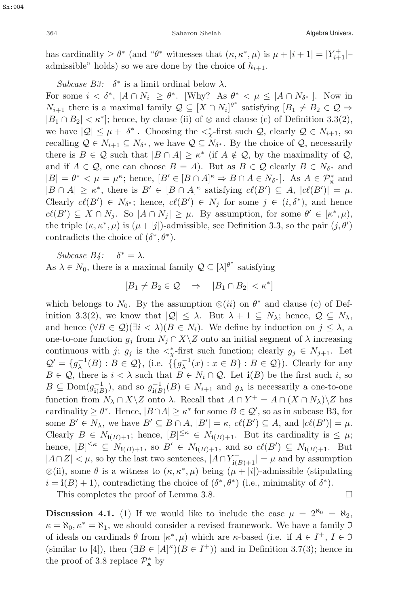364 Saharon Shelah Algebra Univers.

has cardinality  $\geq \theta^*$  (and " $\theta^*$  witnesses that  $(\kappa, \kappa^*, \mu)$  is  $\mu + |i + 1| = |Y_{i+1}^+|$ -<br>admissible" bolds) so we are done by the choice of  $h_{i+1}$ . admissible" holds) so we are done by the choice of  $h_{i+1}$ .

Subcase B3:  $\delta^*$  is a limit ordinal below  $\lambda$ .

For some  $i < \delta^*$ ,  $|A \cap N_i| \geq \theta^*$ . [Why? As  $\theta^* < \mu \leq |A \cap N_{\delta^*}|$ ]. Now in  $N_{i+1}$  there is a maximal family  $\mathcal{Q} \subseteq [X \cap N_i]^{\theta^*}$  satisfying  $[B_1 \neq B_2 \in \mathcal{Q} \Rightarrow$ <br> $[B_1 \cap B_2] \leq \kappa^*$  being by clause (ii) of  $\otimes$  and clause (c) of Definition 3.3(2)  $|B_1 \cap B_2| < \kappa^*$ ; hence, by clause (ii) of ⊗ and clause (c) of Definition 3.3(2), we have  $|Q| \leq \mu + |\delta^*|$ . Choosing the  $\langle \xi \rangle$ -first such  $Q$ , clearly  $Q \in N_{i+1}$ , so<br>recalling  $Q \in N_{i+1} \subset N_i$ , we have  $Q \subset N_i$ . By the choice of  $Q$  necessarily recalling  $\mathcal{Q} \in N_{i+1} \subseteq N_{\delta^*}$ , we have  $\mathcal{Q} \subseteq N_{\delta^*}$ . By the choice of  $\mathcal{Q}$ , necessarily there is  $B \in \mathcal{Q}$  such that  $|B \cap A| \geq \kappa^*$  (if  $A \notin \mathcal{Q}$ , by the maximality of  $\mathcal{Q}$ , and if  $A \in \mathcal{Q}$ , one can choose  $B = A$ ). But as  $B \in \mathcal{Q}$  clearly  $B \in N_{\delta^*}$  and  $|B| = \theta^* < \mu = \mu^{\kappa}$ ; hence,  $[B' \in [B \cap A]^{\kappa} \Rightarrow B \cap A \in N_{\delta^*}]$ . As  $A \in \mathcal{P}^*_{\kappa}$  and  $|B \cap A| \geq \kappa^*$  there is  $B' \in [B \cap A]^{\kappa}$  satisfying  $c\ell(B') \subseteq A \mid c\ell(B')| = \mu$  $|B \cap A| \geq \kappa^*$ , there is  $B' \in [B \cap A]^{\kappa}$  satisfying  $cl(B') \subseteq A$ ,  $|cl(B')| = \mu$ .<br>Closely  $cl(B') \subseteq N_{\kappa}$ ; banco  $cl(B') \subseteq N_{\kappa}$  for some  $i \in (i, \delta^*)$  and banco Clearly  $c\ell(B') \in N_{\delta^*}$ ; hence,  $c\ell(B') \in N_j$  for some  $j \in (i, \delta^*)$ , and hence  $c\ell(B') \subset X \cap N_j$ . So  $|A \cap N_j| > \mu$ . By assumption for some  $\ell' \in [x^*, \mu]$ .  $c\ell(B') \subseteq X \cap N_j$ . So  $|A \cap N_j| \geq \mu$ . By assumption, for some  $\theta' \in [\kappa^*, \mu)$ ,<br>the triple  $(\kappa \kappa^*, \mu)$  is  $(\mu + |\vec{s}|)$  admissible, see Definition 3.3, so the pair  $(\vec{s}, \theta')$ the triple  $(\kappa, \kappa^*, \mu)$  is  $(\mu + |j|)$ -admissible, see Definition 3.3, so the pair  $(j, \theta')$ <br>contradicts the choice of  $(\delta^*, \theta^*)$ contradicts the choice of  $(\delta^*, \theta^*)$ .

Subcase  $B_4$ :  $\delta^* = \lambda$ . As  $\lambda \in N_0$ , there is a maximal family  $\mathcal{Q} \subseteq [\lambda]^{\theta^*}$  satisfying

$$
[B_1 \neq B_2 \in \mathcal{Q} \quad \Rightarrow \quad |B_1 \cap B_2| < \kappa^*]
$$

which belongs to  $N_0$ . By the assumption  $\otimes (ii)$  on  $\theta^*$  and clause (c) of Definition 3.3(2), we know that  $|Q| \leq \lambda$ . But  $\lambda + 1 \subseteq N_{\lambda}$ ; hence,  $Q \subseteq N_{\lambda}$ , and hence  $(\forall B \in \mathcal{Q})(\exists i < \lambda)(B \in N_i)$ . We define by induction on  $j \leq \lambda$ , a one-to-one function  $g_j$  from  $N_j \cap X \setminus Z$  onto an initial segment of  $\lambda$  increasing continuous with j;  $g_j$  is the  $\langle \xi \rangle$ -first such function; clearly  $g_j \in N_{j+1}$ . Let  $\Omega' = \{ s^{-1}(B) : B \subset \Omega \}$ , i.e.,  $\{ s^{-1}(s) : B \subset \Omega \}$ ,  $B \subset \Omega$ ). Clearly for any  $\mathcal{Q}' = \{g_{\lambda}^{-1}(B) : B \in \mathcal{Q}\},\$  (i.e.  $\{\{g_{\lambda}^{-1}(x) : x \in B\} : B \in \mathcal{Q}\}\)$ ). Clearly for any  $B \in \mathcal{Q}$  there is  $i \leq \lambda$  such that  $B \in \mathcal{N} \cup \mathcal{Q}$ . Let  $\mathbf{i}(B)$  be the first such i. so  $B \in \mathcal{Q}$ , there is  $i < \lambda$  such that  $B \in N_i \cap \mathcal{Q}$ . Let  $\mathbf{i}(B)$  be the first such i, so  $B \subseteq \text{Dom}(g_{1(B)}^{-1}),$  and so  $g_{1(B)}^{-1}(B) \in N_{i+1}$  and  $g_{\lambda}$  is necessarily a one-to-one<br>function from  $N \subseteq N$ , z onto be possible that  $A \subseteq V^+$ ,  $A \subseteq (X \subseteq N) \setminus Z$  has function from  $N_\lambda \cap X \setminus Z$  onto  $\lambda$ . Recall that  $A \cap Y^+ = A \cap (X \cap N_\lambda) \setminus Z$  has cardinality  $\geq \theta^*$ . Hence,  $|B \cap A| \geq \kappa^*$  for some  $B \in \mathcal{Q}'$ , so as in subcase B3, for some  $B' \in N_\lambda$ , we have  $B' \subseteq B \cap A$ ,  $|B'| = \kappa$ ,  $c\ell(B') \subseteq A$ , and  $|c\ell(B')| = \mu$ .<br>Closely  $B \subset N$ ,  $\ldots$ , hange  $|B| \leq \kappa \subset N$ ,  $\ldots$ . But its cardinality is  $\leq \mu$ . Clearly  $B \in N_{\mathbf{i}(B)+1}$ ; hence,  $[B]^{\leq \kappa} \in N_{\mathbf{i}(B)+1}$ . But its cardinality is  $\leq \mu$ ;<br>hence,  $[B]^{<\kappa} \subset N_{\mathbf{i}(B)+1}$ , so  $B' \subset N_{\mathbf{i}(B)+1}$ , and so  $a^{\ell}(B') \subset N_{\mathbf{i}(B)+1}$ . But hence,  $[B]^{\leq \kappa} \subseteq N_{\mathbf{i}(B)+1}$ , so  $B' \in N_{\mathbf{i}(B)+1}$ , and so  $c(\mathcal{B}') \subseteq N_{\mathbf{i}(B)+1}$ . But  $|A \cap Z| < \mu$ , so by the last two sentences,  $|A \cap Y_{\mathbf{i}(B)+1}^+| = \mu$  and by assumption  $\Omega(\mathbf{i})$ , some let us witness to  $(u, u^*, u)$  being  $(u, u^* | \mathbf{i})$  odmissible (stipulating)  $\otimes$ (ii), some  $\theta$  is a witness to  $(\kappa, \kappa^*, \mu)$  being  $(\mu + |i|)$ -admissible (stipulating  $i = \mathbf{i}(B) + 1$ , contradicting the choice of  $(\delta^*, \theta^*)$  (i.e., minimality of  $\delta^*$ ).

This completes the proof of Lemma 3.8.  $\Box$ 

**Discussion 4.1.** (1) If we would like to include the case  $\mu = 2^{\aleph_0} = \aleph_2$ ,  $\kappa = \aleph_0, \kappa^* = \aleph_1$ , we should consider a revised framework. We have a family  $\mathfrak I$ of ideals on cardinals  $\theta$  from  $[\kappa^*, \mu)$  which are  $\kappa$ -based (i.e. if  $A \in I^+, I \in \mathfrak{I}$ (similar to [4]), then  $(\exists B \in [A]^{\kappa})(B \in I^+)$  and in Definition 3.7(3); hence in the proof of 3.8 replace  $\mathbb{Z}^*$  by the proof of 3.8 replace  $\mathcal{P}_{\mathbf{x}}^*$  by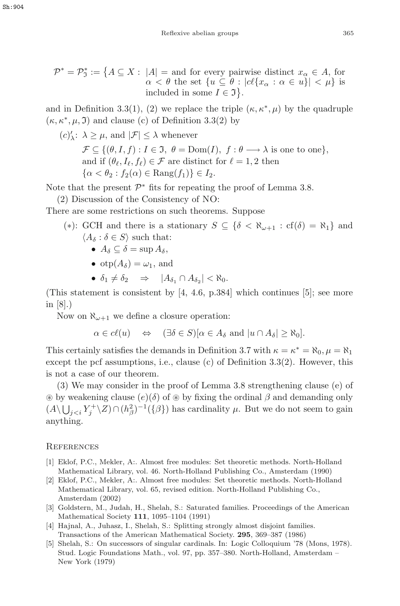$$
\mathcal{P}^* = \mathcal{P}^*_\Im := \{ A \subseteq X : |A| = \text{and for every pairwise distinct } x_\alpha \in A, \text{ for } \alpha < \theta \text{ the set } \{ u \subseteq \theta : |cl\{x_\alpha : \alpha \in u\}| < \mu \} \text{ is included in some } I \in \Im \}.
$$

and in Definition 3.3(1), (2) we replace the triple  $(\kappa, \kappa^*, \mu)$  by the quadruple  $(\kappa, \kappa^*, \mu, \mathfrak{I})$  and clause (c) of Definition 3.3(2) by

$$
(c)'_{\lambda} \colon \lambda \ge \mu, \text{ and } |\mathcal{F}| \le \lambda \text{ whenever}
$$
  
\n
$$
\mathcal{F} \subseteq \{(\theta, I, f) : I \in \mathfrak{I}, \theta = \text{Dom}(I), f : \theta \longrightarrow \lambda \text{ is one to one}\},
$$
  
\nand if  $(\theta_{\ell}, I_{\ell}, f_{\ell}) \in \mathcal{F}$  are distinct for  $\ell = 1, 2$  then  
\n
$$
\{\alpha < \theta_2 : f_2(\alpha) \in \text{Rang}(f_1)\} \in I_2.
$$

Note that the present  $\mathcal{P}^*$  fits for repeating the proof of Lemma 3.8.

(2) Discussion of the Consistency of NO:

There are some restrictions on such theorems. Suppose

(\*): GCH and there is a stationary  $S \subseteq {\delta < \aleph_{\omega+1} : cf(\delta) = \aleph_1}$  and  $\langle A_\delta : \delta \in S \rangle$  such that:

- $A_{\delta} \subset \delta = \sup A_{\delta}$ ,
- $otp(A_{\delta}) = \omega_1$ , and
- $\delta_1 \neq \delta_2 \Rightarrow |A_{\delta_1} \cap A_{\delta_2}| < \aleph_0$ .

(This statement is consistent by [4, 4.6, p.384] which continues [5]; see more in  $|8|$ .)

Now on  $\aleph_{\omega+1}$  we define a closure operation:

$$
\alpha \in c\ell(u) \quad \Leftrightarrow \quad (\exists \delta \in S)[\alpha \in A_{\delta} \text{ and } |u \cap A_{\delta}| \geq \aleph_0].
$$

This certainly satisfies the demands in Definition 3.7 with  $\kappa = \kappa^* = \aleph_0, \mu = \aleph_1$ except the pcf assumptions, i.e., clause (c) of Definition 3.3(2). However, this is not a case of our theorem.

(3) We may consider in the proof of Lemma 3.8 strengthening clause (e) of  $\circledast$  by weakening clause  $(e)(\delta)$  of  $\circledast$  by fixing the ordinal  $\beta$  and demanding only  $(A \setminus \bigcup_{j < i} Y_j^+ \setminus Z) \cap (h_\beta^2)^{-1}(\{\beta\})$  has cardinality  $\mu$ . But we do not seem to gain anything.

#### **REFERENCES**

- [1] Eklof, P.C., Mekler, A:. Almost free modules: Set theoretic methods. North-Holland Mathematical Library, vol. 46. North-Holland Publishing Co., Amsterdam (1990)
- [2] Eklof, P.C., Mekler, A:. Almost free modules: Set theoretic methods. North-Holland Mathematical Library, vol. 65, revised edition. North-Holland Publishing Co., Amsterdam (2002)
- [3] Goldstern, M., Judah, H., Shelah, S.: Saturated families. Proceedings of the American Mathematical Society **111**, 1095–1104 (1991)
- [4] Hajnal, A., Juhasz, I., Shelah, S.: Splitting strongly almost disjoint families. Transactions of the American Mathematical Society. **295**, 369–387 (1986)
- [5] Shelah, S.: On successors of singular cardinals. In: Logic Colloquium '78 (Mons, 1978). Stud. Logic Foundations Math., vol. 97, pp. 357–380. North-Holland, Amsterdam – New York (1979)